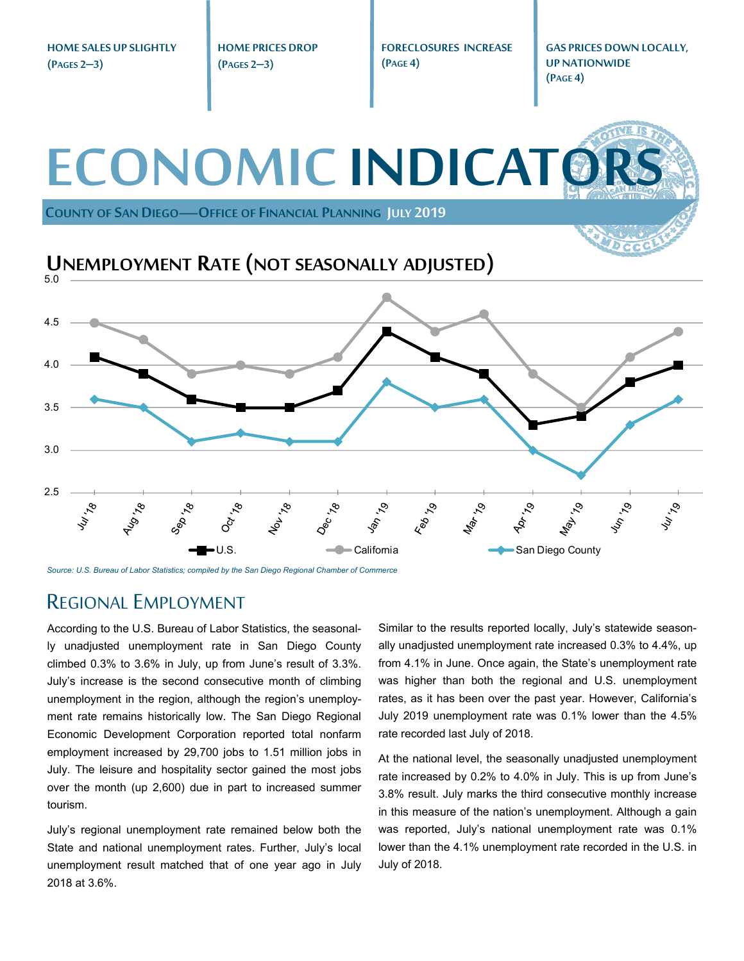**HOME SALES UP SLIGHTLY HOME PRICES DROP FORECLOSURES INCREASE GAS PRICES DOWN LOCALLY, (PAGE 4) UP NATIONWIDE (PAGES 2–3) (PAGES 2–3) (PAGE 4) ECONOMIC INDICATO COUNTY OF SAN DIEGO—OFFICE OF FINANCIAL PLANNING JULY 2019 UNEMPLOYMENT RATE (NOT SEASONALLY ADJUSTED)** 5.0 4.5 4.0 3.5 3.0 2.5 July 18 1601-78 Mar<sub>19</sub> **Apr** 79 **Vullet 1997**  $\mathcal{S}'$  $\mathcal{S}'$  $\mathcal{S}'$ Feb 1  $v_{\phi}$  $\delta$ U.S. **California** California San Diego County

*Source: U.S. Bureau of Labor Statistics; compiled by the San Diego Regional Chamber of Commerce* 

#### REGIONAL EMPLOYMENT

According to the U.S. Bureau of Labor Statistics, the seasonally unadjusted unemployment rate in San Diego County climbed 0.3% to 3.6% in July, up from June's result of 3.3%. July's increase is the second consecutive month of climbing unemployment in the region, although the region's unemployment rate remains historically low. The San Diego Regional Economic Development Corporation reported total nonfarm employment increased by 29,700 jobs to 1.51 million jobs in July. The leisure and hospitality sector gained the most jobs over the month (up 2,600) due in part to increased summer tourism.

July's regional unemployment rate remained below both the State and national unemployment rates. Further, July's local unemployment result matched that of one year ago in July 2018 at 3.6%.

Similar to the results reported locally, July's statewide seasonally unadjusted unemployment rate increased 0.3% to 4.4%, up from 4.1% in June. Once again, the State's unemployment rate was higher than both the regional and U.S. unemployment rates, as it has been over the past year. However, California's July 2019 unemployment rate was 0.1% lower than the 4.5% rate recorded last July of 2018.

At the national level, the seasonally unadjusted unemployment rate increased by 0.2% to 4.0% in July. This is up from June's 3.8% result. July marks the third consecutive monthly increase in this measure of the nation's unemployment. Although a gain was reported, July's national unemployment rate was 0.1% lower than the 4.1% unemployment rate recorded in the U.S. in July of 2018.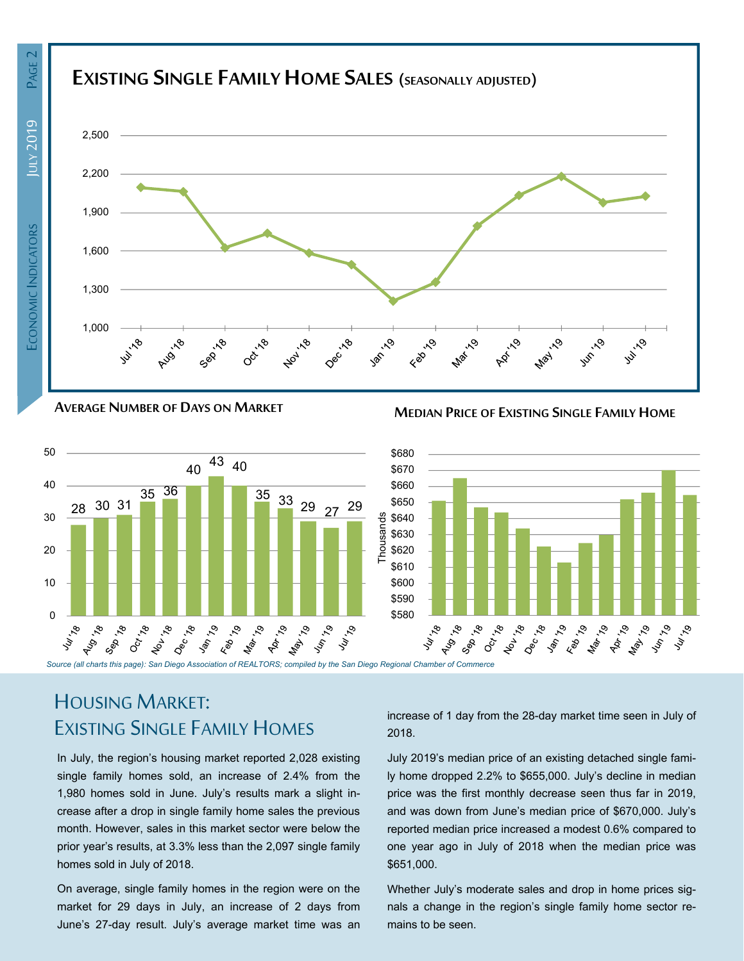



**AVERAGE NUMBER OF DAYS ON MARKET MEDIAN PRICE OF EXISTING SINGLE FAMILY HOME**



## HOUSING MARKET: EXISTING SINGLE FAMILY HOMES

In July, the region's housing market reported 2,028 existing single family homes sold, an increase of 2.4% from the 1,980 homes sold in June. July's results mark a slight increase after a drop in single family home sales the previous month. However, sales in this market sector were below the prior year's results, at 3.3% less than the 2,097 single family homes sold in July of 2018.

On average, single family homes in the region were on the market for 29 days in July, an increase of 2 days from June's 27-day result. July's average market time was an increase of 1 day from the 28-day market time seen in July of 2018.

July 2019's median price of an existing detached single family home dropped 2.2% to \$655,000. July's decline in median price was the first monthly decrease seen thus far in 2019, and was down from June's median price of \$670,000. July's reported median price increased a modest 0.6% compared to one year ago in July of 2018 when the median price was \$651,000.

Whether July's moderate sales and drop in home prices signals a change in the region's single family home sector remains to be seen.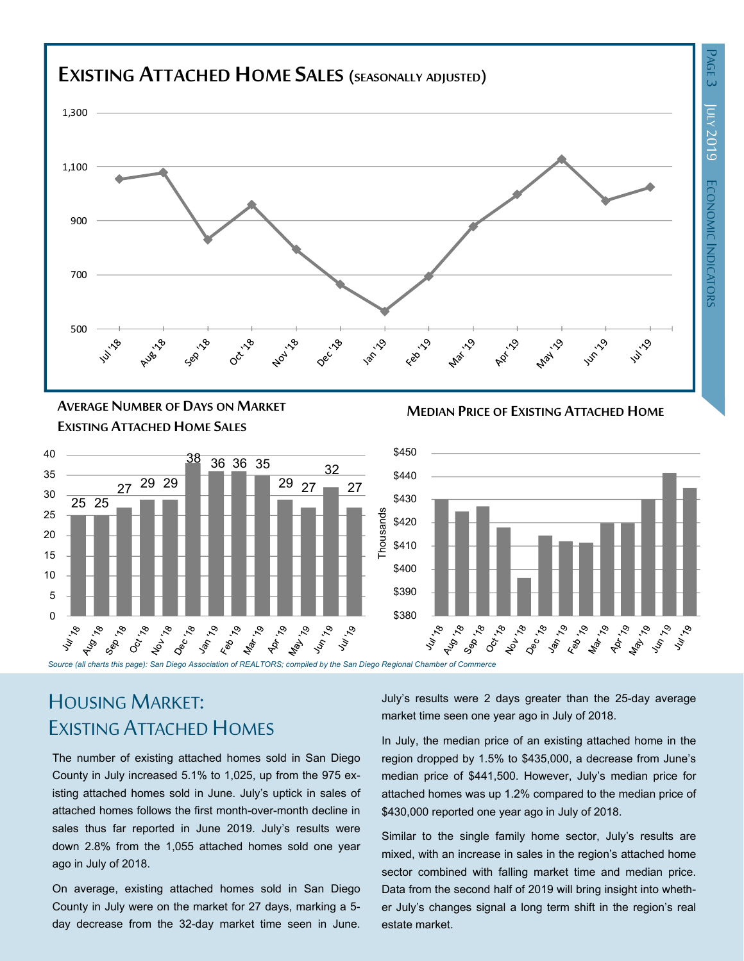## **EXISTING ATTACHED HOMESALES (SEASONALLY ADJUSTED)**



**MEDIAN PRICE OF EXISTING ATTACHED HOME AVERAGE NUMBER OF DAYS ON MARKET EXISTING ATTACHED HOME SALES**





# HOUSING MARKET: EXISTING ATTACHED HOMES

The number of existing attached homes sold in San Diego County in July increased 5.1% to 1,025, up from the 975 existing attached homes sold in June. July's uptick in sales of attached homes follows the first month-over-month decline in sales thus far reported in June 2019. July's results were down 2.8% from the 1,055 attached homes sold one year ago in July of 2018.

On average, existing attached homes sold in San Diego County in July were on the market for 27 days, marking a 5 day decrease from the 32-day market time seen in June. July's results were 2 days greater than the 25-day average market time seen one year ago in July of 2018.

In July, the median price of an existing attached home in the region dropped by 1.5% to \$435,000, a decrease from June's median price of \$441,500. However, July's median price for attached homes was up 1.2% compared to the median price of \$430,000 reported one year ago in July of 2018.

Similar to the single family home sector, July's results are mixed, with an increase in sales in the region's attached home sector combined with falling market time and median price. Data from the second half of 2019 will bring insight into whether July's changes signal a long term shift in the region's real estate market.